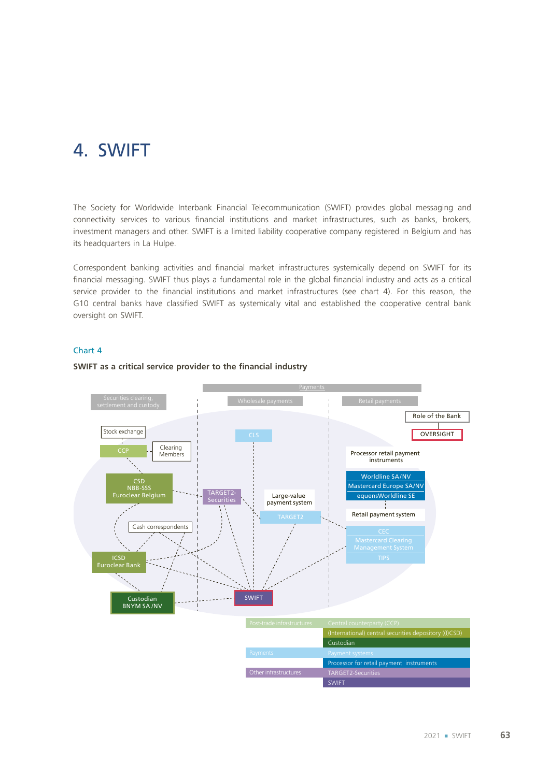# 4. SWIFT

The Society for Worldwide Interbank Financial Telecommunication (SWIFT) provides global messaging and connectivity services to various financial institutions and market infrastructures, such as banks, brokers, investment managers and other. SWIFT is a limited liability cooperative company registered in Belgium and has its headquarters in La Hulpe.

Correspondent banking activities and financial market infrastructures systemically depend on SWIFT for its financial messaging. SWIFT thus plays a fundamental role in the global financial industry and acts as a critical service provider to the financial institutions and market infrastructures (see chart 4). For this reason, the G10 central banks have classified SWIFT as systemically vital and established the cooperative central bank oversight on SWIFT.

### Chart 4

### **SWIFT as a critical service provider to the financial industry**

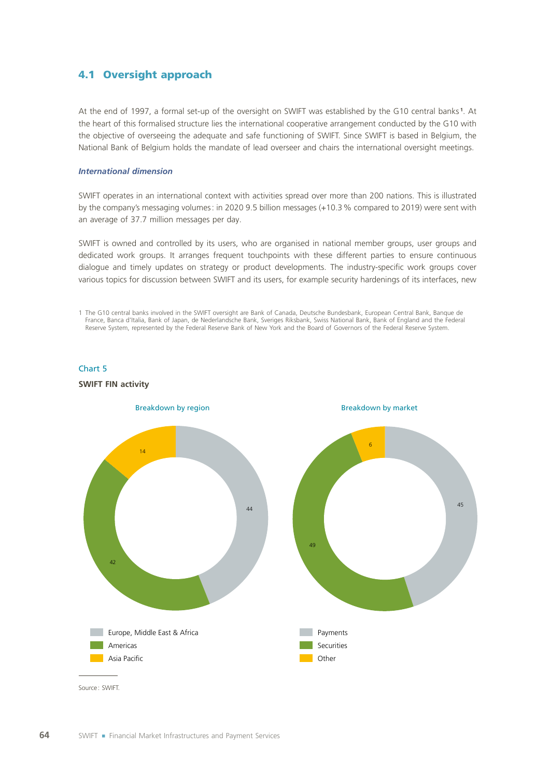### 4.1 Oversight approach

At the end of 1997, a formal set‑up of the oversight on SWIFT was established by the G10 central banks **<sup>1</sup>** . At the heart of this formalised structure lies the international cooperative arrangement conducted by the G10 with the objective of overseeing the adequate and safe functioning of SWIFT. Since SWIFT is based in Belgium, the National Bank of Belgium holds the mandate of lead overseer and chairs the international oversight meetings.

### *International dimension*

Chart 5

SWIFT operates in an international context with activities spread over more than 200 nations. This is illustrated by the company's messaging volumes: in 2020 9.5 billion messages (+10.3% compared to 2019) were sent with an average of 37.7 million messages per day.

SWIFT is owned and controlled by its users, who are organised in national member groups, user groups and dedicated work groups. It arranges frequent touchpoints with these different parties to ensure continuous dialogue and timely updates on strategy or product developments. The industry-specific work groups cover various topics for discussion between SWIFT and its users, for example security hardenings of its interfaces, new

1 The G10 central banks involved in the SWIFT oversight are Bank of Canada, Deutsche Bundesbank, European Central Bank, Banque de France, Banca d'Italia, Bank of Japan, de Nederlandsche Bank, Sveriges Riksbank, Swiss National Bank, Bank of England and the Federal Reserve System, represented by the Federal Reserve Bank of New York and the Board of Governors of the Federal Reserve System.

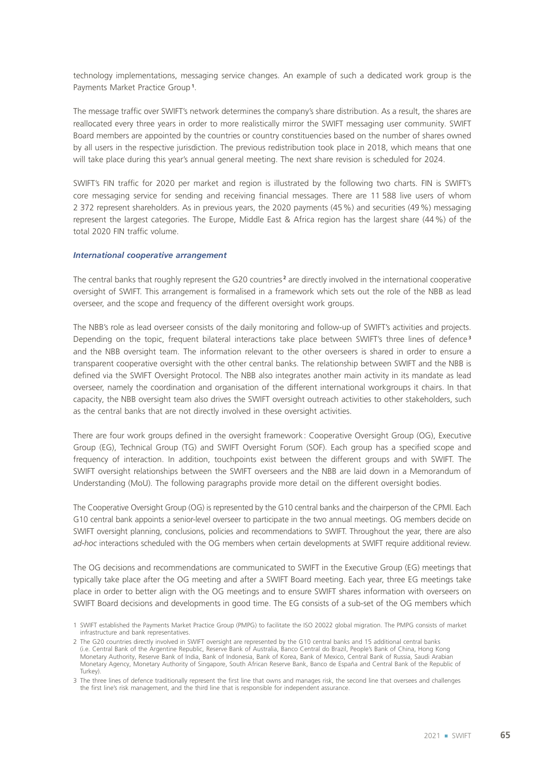technology implementations, messaging service changes. An example of such a dedicated work group is the Payments Market Practice Group **<sup>1</sup>** .

The message traffic over SWIFT's network determines the company's share distribution. As a result, the shares are reallocated every three years in order to more realistically mirror the SWIFT messaging user community. SWIFT Board members are appointed by the countries or country constituencies based on the number of shares owned by all users in the respective jurisdiction. The previous redistribution took place in 2018, which means that one will take place during this year's annual general meeting. The next share revision is scheduled for 2024.

SWIFT's FIN traffic for 2020 per market and region is illustrated by the following two charts. FIN is SWIFT's core messaging service for sending and receiving financial messages. There are 11 588 live users of whom 2 372 represent shareholders. As in previous years, the 2020 payments (45%) and securities (49%) messaging represent the largest categories. The Europe, Middle East & Africa region has the largest share (44%) of the total 2020 FIN traffic volume.

#### *International cooperative arrangement*

The central banks that roughly represent the G20 countries<sup>2</sup> are directly involved in the international cooperative oversight of SWIFT. This arrangement is formalised in a framework which sets out the role of the NBB as lead overseer, and the scope and frequency of the different oversight work groups.

The NBB's role as lead overseer consists of the daily monitoring and follow-up of SWIFT's activities and projects. Depending on the topic, frequent bilateral interactions take place between SWIFT's three lines of defence **<sup>3</sup>** and the NBB oversight team. The information relevant to the other overseers is shared in order to ensure a transparent cooperative oversight with the other central banks. The relationship between SWIFT and the NBB is defined via the SWIFT Oversight Protocol. The NBB also integrates another main activity in its mandate as lead overseer, namely the coordination and organisation of the different international workgroups it chairs. In that capacity, the NBB oversight team also drives the SWIFT oversight outreach activities to other stakeholders, such as the central banks that are not directly involved in these oversight activities.

There are four work groups defined in the oversight framework: Cooperative Oversight Group (OG), Executive Group (EG), Technical Group (TG) and SWIFT Oversight Forum (SOF). Each group has a specified scope and frequency of interaction. In addition, touchpoints exist between the different groups and with SWIFT. The SWIFT oversight relationships between the SWIFT overseers and the NBB are laid down in a Memorandum of Understanding (MoU). The following paragraphs provide more detail on the different oversight bodies.

The Cooperative Oversight Group (OG) is represented by the G10 central banks and the chairperson of the CPMI. Each G10 central bank appoints a senior-level overseer to participate in the two annual meetings. OG members decide on SWIFT oversight planning, conclusions, policies and recommendations to SWIFT. Throughout the year, there are also *ad‑hoc* interactions scheduled with the OG members when certain developments at SWIFT require additional review.

The OG decisions and recommendations are communicated to SWIFT in the Executive Group (EG) meetings that typically take place after the OG meeting and after a SWIFT Board meeting. Each year, three EG meetings take place in order to better align with the OG meetings and to ensure SWIFT shares information with overseers on SWIFT Board decisions and developments in good time. The EG consists of a sub-set of the OG members which

<sup>1</sup> SWIFT established the Payments Market Practice Group (PMPG) to facilitate the ISO 20022 global migration. The PMPG consists of market infrastructure and bank representatives.

<sup>2</sup> The G20 countries directly involved in SWIFT oversight are represented by the G10 central banks and 15 additional central banks (i.e. Central Bank of the Argentine Republic, Reserve Bank of Australia, Banco Central do Brazil, People's Bank of China, Hong Kong Monetary Authority, Reserve Bank of India, Bank of Indonesia, Bank of Korea, Bank of Mexico, Central Bank of Russia, Saudi Arabian Monetary Agency, Monetary Authority of Singapore, South African Reserve Bank, Banco de España and Central Bank of the Republic of Turkey).

<sup>3</sup> The three lines of defence traditionally represent the first line that owns and manages risk, the second line that oversees and challenges the first line's risk management, and the third line that is responsible for independent assurance.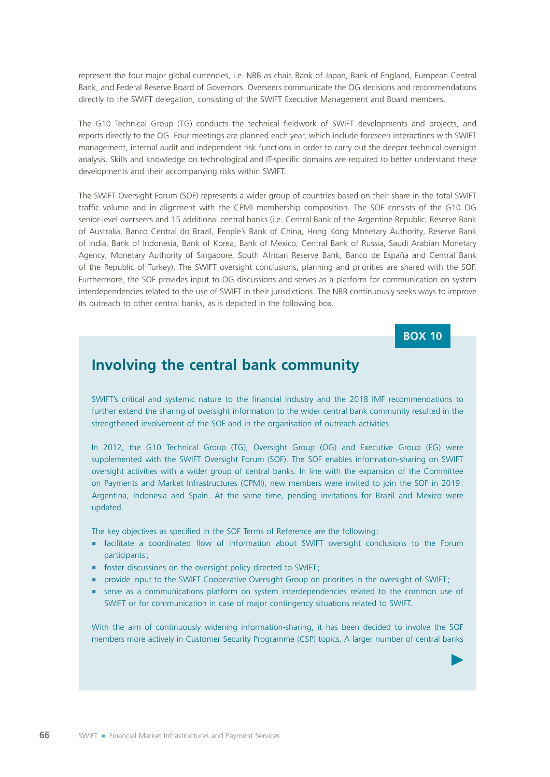represent the four major global currencies, i.e. NBB as chair, Bank of Japan, Bank of England, European Central Bank, and Federal Reserve Board of Governors. Overseers communicate the OG decisions and recommendations directly to the SWIFT delegation, consisting of the SWIFT Executive Management and Board members.

The G10 Technical Group (TG) conducts the technical fieldwork of SWIFT developments and projects, and reports directly to the OG. Four meetings are planned each year, which include foreseen interactions with SWIFT management, internal audit and independent risk functions in order to carry out the deeper technical oversight analysis. Skills and knowledge on technological and IT-specific domains are required to better understand these developments and their accompanying risks within SWIFT.

The SWIFT Oversight Forum (SOF) represents a wider group of countries based on their share in the total SWIFT traffic volume and in alignment with the CPMI membership composition. The SOF consists of the G10 OG senior-level overseers and 15 additional central banks (i.e. Central Bank of the Argentine Republic, Reserve Bank of Australia, Banco Central do Brazil, People's Bank of China, Hong Kong Monetary Authority, Reserve Bank of India, Bank of Indonesia, Bank of Korea, Bank of Mexico, Central Bank of Russia, Saudi Arabian Monetary Agency, Monetary Authority of Singapore, South African Reserve Bank, Banco de España and Central Bank of the Republic of Turkey). The SWIFT oversight conclusions, planning and priorities are shared with the SOF. Furthermore, the SOF provides input to OG discussions and serves as a platform for communication on system interdependencies related to the use of SWIFT in their jurisdictions. The NBB continuously seeks ways to improve its outreach to other central banks, as is depicted in the following box.

**BOX 10**

 $\blacktriangleright$ 

# **Involving the central bank community**

SWIFT's critical and systemic nature to the financial industry and the 2018 IMF recommendations to further extend the sharing of oversight information to the wider central bank community resulted in the strengthened involvement of the SOF and in the organisation of outreach activities.

In 2012, the G10 Technical Group (TG), Oversight Group (OG) and Executive Group (EG) were supplemented with the SWIFT Oversight Forum (SOF). The SOF enables information-sharing on SWIFT oversight activities with a wider group of central banks. In line with the expansion of the Committee on Payments and Market Infrastructures (CPMI), new members were invited to join the SOF in 2019: Argentina, Indonesia and Spain. At the same time, pending invitations for Brazil and Mexico were updated.

The key objectives as specified in the SOF Terms of Reference are the following:

- **Example 1** facilitate a coordinated flow of information about SWIFT oversight conclusions to the Forum participants;
- foster discussions on the oversight policy directed to SWIFT:
- **•** provide input to the SWIFT Cooperative Oversight Group on priorities in the oversight of SWIFT;
- **EX SERVE AS a communications platform on system interdependencies related to the common use of** SWIFT or for communication in case of major contingency situations related to SWIFT.

With the aim of continuously widening information-sharing, it has been decided to involve the SOF members more actively in Customer Security Programme (CSP) topics. A larger number of central banks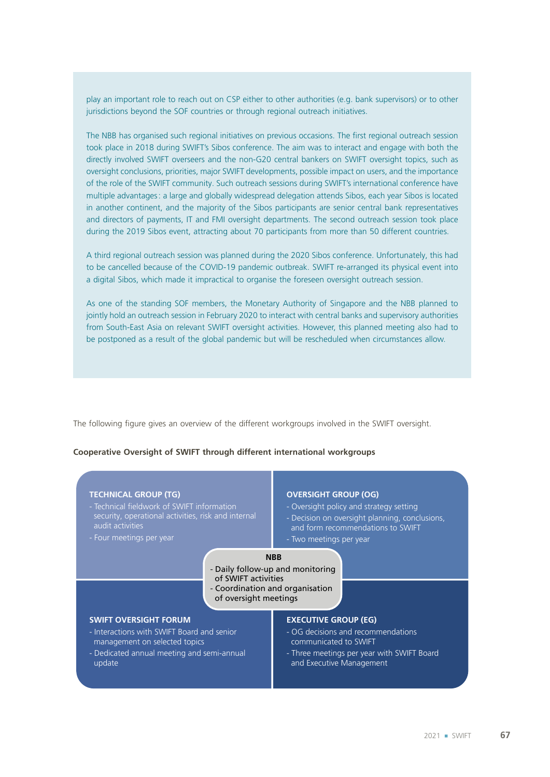play an important role to reach out on CSP either to other authorities (e.g. bank supervisors) or to other jurisdictions beyond the SOF countries or through regional outreach initiatives.

The NBB has organised such regional initiatives on previous occasions. The first regional outreach session took place in 2018 during SWIFT's Sibos conference. The aim was to interact and engage with both the directly involved SWIFT overseers and the non‑G20 central bankers on SWIFT oversight topics, such as oversight conclusions, priorities, major SWIFT developments, possible impact on users, and the importance of the role of the SWIFT community. Such outreach sessions during SWIFT's international conference have multiple advantages: a large and globally widespread delegation attends Sibos, each year Sibos is located in another continent, and the majority of the Sibos participants are senior central bank representatives and directors of payments, IT and FMI oversight departments. The second outreach session took place during the 2019 Sibos event, attracting about 70 participants from more than 50 different countries.

A third regional outreach session was planned during the 2020 Sibos conference. Unfortunately, this had to be cancelled because of the COVID-19 pandemic outbreak. SWIFT re-arranged its physical event into a digital Sibos, which made it impractical to organise the foreseen oversight outreach session.

As one of the standing SOF members, the Monetary Authority of Singapore and the NBB planned to jointly hold an outreach session in February 2020 to interact with central banks and supervisory authorities from South-East Asia on relevant SWIFT oversight activities. However, this planned meeting also had to be postponed as a result of the global pandemic but will be rescheduled when circumstances allow.

The following figure gives an overview of the different workgroups involved in the SWIFT oversight.

### **Cooperative Oversight of SWIFT through different international workgroups**

| <b>TECHNICAL GROUP (TG)</b>                                                                                                       | <b>OVERSIGHT GROUP (OG)</b>                    |
|-----------------------------------------------------------------------------------------------------------------------------------|------------------------------------------------|
| - Technical fieldwork of SWIFT information                                                                                        | - Oversight policy and strategy setting        |
| security, operational activities, risk and internal                                                                               | - Decision on oversight planning, conclusions, |
| audit activities                                                                                                                  | and form recommendations to SWIFT              |
| - Four meetings per year                                                                                                          | - Two meetings per year                        |
| <b>NBB</b><br>- Daily follow-up and monitoring<br>of SWIFT activities<br>- Coordination and organisation<br>of oversight meetings |                                                |
| <b>SWIFT OVERSIGHT FORUM</b>                                                                                                      | <b>EXECUTIVE GROUP (EG)</b>                    |
| - Interactions with SWIFT Board and senior                                                                                        | - OG decisions and recommendations             |
| management on selected topics                                                                                                     | communicated to SWIFT                          |
| - Dedicated annual meeting and semi-annual                                                                                        | - Three meetings per year with SWIFT Board     |
| update                                                                                                                            | and Executive Management                       |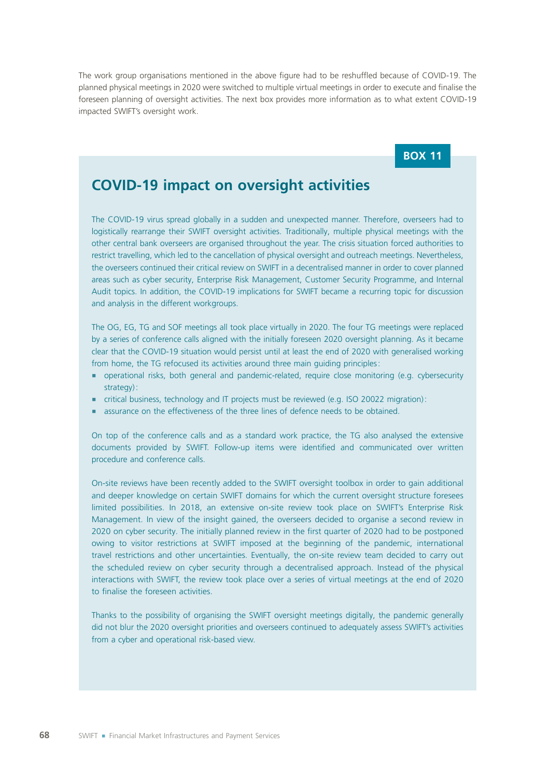The work group organisations mentioned in the above figure had to be reshuffled because of COVID-19. The planned physical meetings in 2020 were switched to multiple virtual meetings in order to execute and finalise the foreseen planning of oversight activities. The next box provides more information as to what extent COVID-19 impacted SWIFT's oversight work.

### **BOX 11**

# **COVID‑19 impact on oversight activities**

The COVID‑19 virus spread globally in a sudden and unexpected manner. Therefore, overseers had to logistically rearrange their SWIFT oversight activities. Traditionally, multiple physical meetings with the other central bank overseers are organised throughout the year. The crisis situation forced authorities to restrict travelling, which led to the cancellation of physical oversight and outreach meetings. Nevertheless, the overseers continued their critical review on SWIFT in a decentralised manner in order to cover planned areas such as cyber security, Enterprise Risk Management, Customer Security Programme, and Internal Audit topics. In addition, the COVID-19 implications for SWIFT became a recurring topic for discussion and analysis in the different workgroups.

The OG, EG, TG and SOF meetings all took place virtually in 2020. The four TG meetings were replaced by a series of conference calls aligned with the initially foreseen 2020 oversight planning. As it became clear that the COVID-19 situation would persist until at least the end of 2020 with generalised working from home, the TG refocused its activities around three main guiding principles:

- operational risks, both general and pandemic-related, require close monitoring (e.g. cybersecurity strategy):
- critical business, technology and IT projects must be reviewed (e.g. ISO 20022 migration):
- assurance on the effectiveness of the three lines of defence needs to be obtained.

On top of the conference calls and as a standard work practice, the TG also analysed the extensive documents provided by SWIFT. Follow‑up items were identified and communicated over written procedure and conference calls.

On‑site reviews have been recently added to the SWIFT oversight toolbox in order to gain additional and deeper knowledge on certain SWIFT domains for which the current oversight structure foresees limited possibilities. In 2018, an extensive on-site review took place on SWIFT's Enterprise Risk Management. In view of the insight gained, the overseers decided to organise a second review in 2020 on cyber security. The initially planned review in the first quarter of 2020 had to be postponed owing to visitor restrictions at SWIFT imposed at the beginning of the pandemic, international travel restrictions and other uncertainties. Eventually, the on‑site review team decided to carry out the scheduled review on cyber security through a decentralised approach. Instead of the physical interactions with SWIFT, the review took place over a series of virtual meetings at the end of 2020 to finalise the foreseen activities.

Thanks to the possibility of organising the SWIFT oversight meetings digitally, the pandemic generally did not blur the 2020 oversight priorities and overseers continued to adequately assess SWIFT's activities from a cyber and operational risk-based view.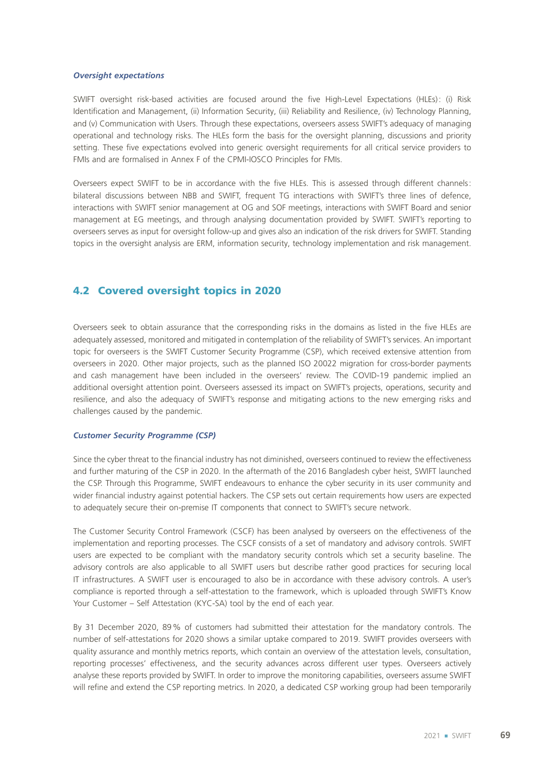### *Oversight expectations*

SWIFT oversight risk-based activities are focused around the five High-Level Expectations (HLEs): (i) Risk Identification and Management, (ii) Information Security, (iii) Reliability and Resilience, (iv) Technology Planning, and (v) Communication with Users. Through these expectations, overseers assess SWIFT's adequacy of managing operational and technology risks. The HLEs form the basis for the oversight planning, discussions and priority setting. These five expectations evolved into generic oversight requirements for all critical service providers to FMIs and are formalised in Annex F of the CPMI-IOSCO Principles for FMIs.

Overseers expect SWIFT to be in accordance with the five HLEs. This is assessed through different channels: bilateral discussions between NBB and SWIFT, frequent TG interactions with SWIFT's three lines of defence, interactions with SWIFT senior management at OG and SOF meetings, interactions with SWIFT Board and senior management at EG meetings, and through analysing documentation provided by SWIFT. SWIFT's reporting to overseers serves as input for oversight follow‑up and gives also an indication of the risk drivers for SWIFT. Standing topics in the oversight analysis are ERM, information security, technology implementation and risk management.

### 4.2 Covered oversight topics in 2020

Overseers seek to obtain assurance that the corresponding risks in the domains as listed in the five HLEs are adequately assessed, monitored and mitigated in contemplation of the reliability of SWIFT's services. An important topic for overseers is the SWIFT Customer Security Programme (CSP), which received extensive attention from overseers in 2020. Other major projects, such as the planned ISO 20022 migration for cross-border payments and cash management have been included in the overseers' review. The COVID-19 pandemic implied an additional oversight attention point. Overseers assessed its impact on SWIFT's projects, operations, security and resilience, and also the adequacy of SWIFT's response and mitigating actions to the new emerging risks and challenges caused by the pandemic.

#### *Customer Security Programme (CSP)*

Since the cyber threat to the financial industry has not diminished, overseers continued to review the effectiveness and further maturing of the CSP in 2020. In the aftermath of the 2016 Bangladesh cyber heist, SWIFT launched the CSP. Through this Programme, SWIFT endeavours to enhance the cyber security in its user community and wider financial industry against potential hackers. The CSP sets out certain requirements how users are expected to adequately secure their on-premise IT components that connect to SWIFT's secure network.

The Customer Security Control Framework (CSCF) has been analysed by overseers on the effectiveness of the implementation and reporting processes. The CSCF consists of a set of mandatory and advisory controls. SWIFT users are expected to be compliant with the mandatory security controls which set a security baseline. The advisory controls are also applicable to all SWIFT users but describe rather good practices for securing local IT infrastructures. A SWIFT user is encouraged to also be in accordance with these advisory controls. A user's compliance is reported through a self‑attestation to the framework, which is uploaded through SWIFT's Know Your Customer – Self Attestation (KYC‑SA) tool by the end of each year.

By 31 December 2020, 89% of customers had submitted their attestation for the mandatory controls. The number of self‑attestations for 2020 shows a similar uptake compared to 2019. SWIFT provides overseers with quality assurance and monthly metrics reports, which contain an overview of the attestation levels, consultation, reporting processes' effectiveness, and the security advances across different user types. Overseers actively analyse these reports provided by SWIFT. In order to improve the monitoring capabilities, overseers assume SWIFT will refine and extend the CSP reporting metrics. In 2020, a dedicated CSP working group had been temporarily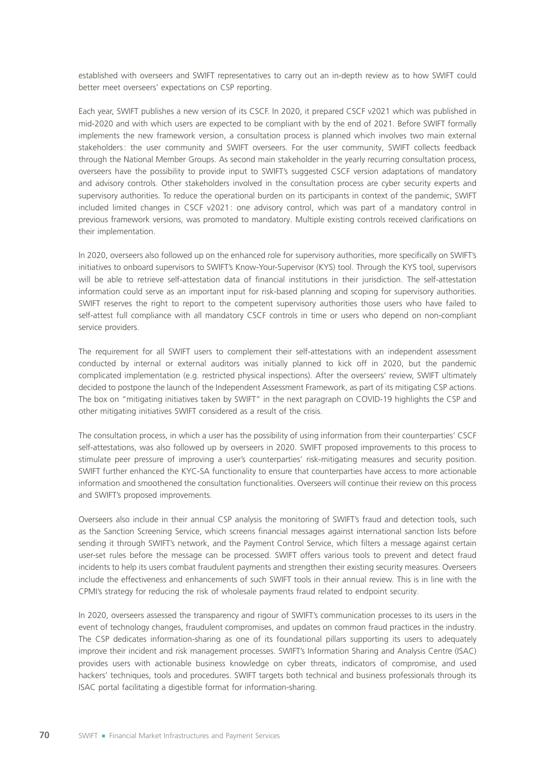established with overseers and SWIFT representatives to carry out an in-depth review as to how SWIFT could better meet overseers' expectations on CSP reporting.

Each year, SWIFT publishes a new version of its CSCF. In 2020, it prepared CSCF v2021 which was published in mid‑2020 and with which users are expected to be compliant with by the end of 2021. Before SWIFT formally implements the new framework version, a consultation process is planned which involves two main external stakeholders: the user community and SWIFT overseers. For the user community, SWIFT collects feedback through the National Member Groups. As second main stakeholder in the yearly recurring consultation process, overseers have the possibility to provide input to SWIFT's suggested CSCF version adaptations of mandatory and advisory controls. Other stakeholders involved in the consultation process are cyber security experts and supervisory authorities. To reduce the operational burden on its participants in context of the pandemic, SWIFT included limited changes in CSCF v2021: one advisory control, which was part of a mandatory control in previous framework versions, was promoted to mandatory. Multiple existing controls received clarifications on their implementation.

In 2020, overseers also followed up on the enhanced role for supervisory authorities, more specifically on SWIFT's initiatives to onboard supervisors to SWIFT's Know‑Your‑Supervisor (KYS) tool. Through the KYS tool, supervisors will be able to retrieve self-attestation data of financial institutions in their jurisdiction. The self-attestation information could serve as an important input for risk-based planning and scoping for supervisory authorities. SWIFT reserves the right to report to the competent supervisory authorities those users who have failed to self-attest full compliance with all mandatory CSCF controls in time or users who depend on non-compliant service providers.

The requirement for all SWIFT users to complement their self-attestations with an independent assessment conducted by internal or external auditors was initially planned to kick off in 2020, but the pandemic complicated implementation (e.g. restricted physical inspections). After the overseers' review, SWIFT ultimately decided to postpone the launch of the Independent Assessment Framework, as part of its mitigating CSP actions. The box on "mitigating initiatives taken by SWIFT" in the next paragraph on COVID-19 highlights the CSP and other mitigating initiatives SWIFT considered as a result of the crisis.

The consultation process, in which a user has the possibility of using information from their counterparties' CSCF self-attestations, was also followed up by overseers in 2020. SWIFT proposed improvements to this process to stimulate peer pressure of improving a user's counterparties' risk-mitigating measures and security position. SWIFT further enhanced the KYC‑SA functionality to ensure that counterparties have access to more actionable information and smoothened the consultation functionalities. Overseers will continue their review on this process and SWIFT's proposed improvements.

Overseers also include in their annual CSP analysis the monitoring of SWIFT's fraud and detection tools, such as the Sanction Screening Service, which screens financial messages against international sanction lists before sending it through SWIFT's network, and the Payment Control Service, which filters a message against certain user‑set rules before the message can be processed. SWIFT offers various tools to prevent and detect fraud incidents to help its users combat fraudulent payments and strengthen their existing security measures. Overseers include the effectiveness and enhancements of such SWIFT tools in their annual review. This is in line with the CPMI's strategy for reducing the risk of wholesale payments fraud related to endpoint security.

In 2020, overseers assessed the transparency and rigour of SWIFT's communication processes to its users in the event of technology changes, fraudulent compromises, and updates on common fraud practices in the industry. The CSP dedicates information-sharing as one of its foundational pillars supporting its users to adequately improve their incident and risk management processes. SWIFT's Information Sharing and Analysis Centre (ISAC) provides users with actionable business knowledge on cyber threats, indicators of compromise, and used hackers' techniques, tools and procedures. SWIFT targets both technical and business professionals through its ISAC portal facilitating a digestible format for information‑sharing.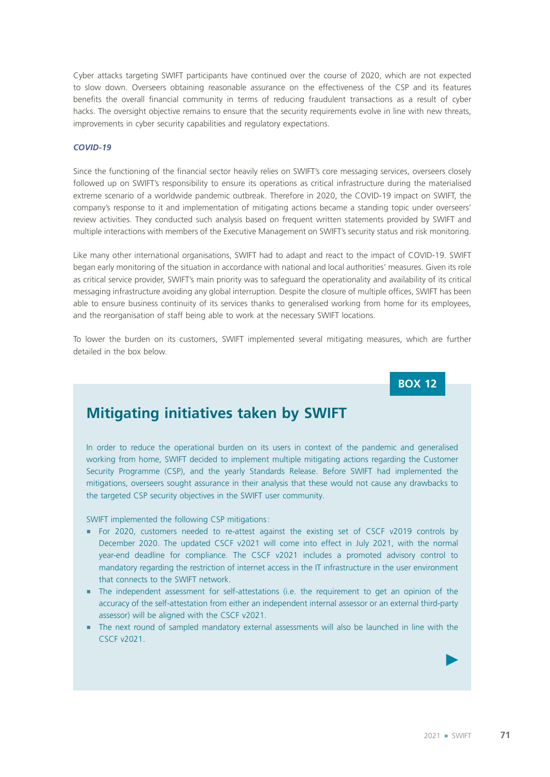Cyber attacks targeting SWIFT participants have continued over the course of 2020, which are not expected to slow down. Overseers obtaining reasonable assurance on the effectiveness of the CSP and its features benefits the overall financial community in terms of reducing fraudulent transactions as a result of cyber hacks. The oversight objective remains to ensure that the security requirements evolve in line with new threats, improvements in cyber security capabilities and regulatory expectations.

### *COVID‑19*

Since the functioning of the financial sector heavily relies on SWIFT's core messaging services, overseers closely followed up on SWIFT's responsibility to ensure its operations as critical infrastructure during the materialised extreme scenario of a worldwide pandemic outbreak. Therefore in 2020, the COVID-19 impact on SWIFT, the company's response to it and implementation of mitigating actions became a standing topic under overseers' review activities. They conducted such analysis based on frequent written statements provided by SWIFT and multiple interactions with members of the Executive Management on SWIFT's security status and risk monitoring.

Like many other international organisations, SWIFT had to adapt and react to the impact of COVID-19. SWIFT began early monitoring of the situation in accordance with national and local authorities' measures. Given its role as critical service provider, SWIFT's main priority was to safeguard the operationality and availability of its critical messaging infrastructure avoiding any global interruption. Despite the closure of multiple offices, SWIFT has been able to ensure business continuity of its services thanks to generalised working from home for its employees, and the reorganisation of staff being able to work at the necessary SWIFT locations.

To lower the burden on its customers, SWIFT implemented several mitigating measures, which are further detailed in the box below.

**BOX 12**

# **Mitigating initiatives taken by SWIFT**

In order to reduce the operational burden on its users in context of the pandemic and generalised working from home, SWIFT decided to implement multiple mitigating actions regarding the Customer Security Programme (CSP), and the yearly Standards Release. Before SWIFT had implemented the mitigations, overseers sought assurance in their analysis that these would not cause any drawbacks to the targeted CSP security objectives in the SWIFT user community.

SWIFT implemented the following CSP mitigations:

- For 2020, customers needed to re-attest against the existing set of CSCF v2019 controls by December 2020. The updated CSCF v2021 will come into effect in July 2021, with the normal year-end deadline for compliance. The CSCF v2021 includes a promoted advisory control to mandatory regarding the restriction of internet access in the IT infrastructure in the user environment that connects to the SWIFT network.
- The independent assessment for self-attestations (i.e. the requirement to get an opinion of the accuracy of the self-attestation from either an independent internal assessor or an external third-party assessor) will be aligned with the CSCF v2021.
- ¡ The next round of sampled mandatory external assessments will also be launched in line with the CSCF v2021.

 $\blacktriangleright$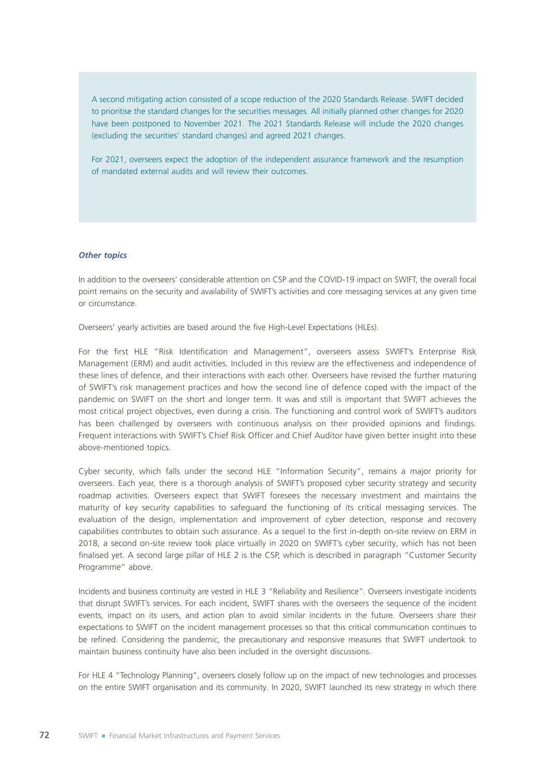A second mitigating action consisted of a scope reduction of the 2020 Standards Release. SWIFT decided to prioritise the standard changes for the securities messages. All initially planned other changes for 2020 have been postponed to November 2021. The 2021 Standards Release will include the 2020 changes (excluding the securities' standard changes) and agreed 2021 changes.

For 2021, overseers expect the adoption of the independent assurance framework and the resumption of mandated external audits and will review their outcomes.

#### *Other topics*

In addition to the overseers' considerable attention on CSP and the COVID-19 impact on SWIFT, the overall focal point remains on the security and availability of SWIFT's activities and core messaging services at any given time or circumstance.

Overseers' yearly activities are based around the five High-Level Expectations (HLEs).

For the first HLE "Risk Identification and Management", overseers assess SWIFT's Enterprise Risk Management (ERM) and audit activities. Included in this review are the effectiveness and independence of these lines of defence, and their interactions with each other. Overseers have revised the further maturing of SWIFT's risk management practices and how the second line of defence coped with the impact of the pandemic on SWIFT on the short and longer term. It was and still is important that SWIFT achieves the most critical project objectives, even during a crisis. The functioning and control work of SWIFT's auditors has been challenged by overseers with continuous analysis on their provided opinions and findings. Frequent interactions with SWIFT's Chief Risk Officer and Chief Auditor have given better insight into these above-mentioned topics.

Cyber security, which falls under the second HLE "Information Security", remains a major priority for overseers. Each year, there is a thorough analysis of SWIFT's proposed cyber security strategy and security roadmap activities. Overseers expect that SWIFT foresees the necessary investment and maintains the maturity of key security capabilities to safeguard the functioning of its critical messaging services. The evaluation of the design, implementation and improvement of cyber detection, response and recovery capabilities contributes to obtain such assurance. As a sequel to the first in‑depth on‑site review on ERM in 2018, a second on‑site review took place virtually in 2020 on SWIFT's cyber security, which has not been finalised yet. A second large pillar of HLE 2 is the CSP, which is described in paragraph "Customer Security Programme" above.

Incidents and business continuity are vested in HLE 3 "Reliability and Resilience". Overseers investigate incidents that disrupt SWIFT's services. For each incident, SWIFT shares with the overseers the sequence of the incident events, impact on its users, and action plan to avoid similar incidents in the future. Overseers share their expectations to SWIFT on the incident management processes so that this critical communication continues to be refined. Considering the pandemic, the precautionary and responsive measures that SWIFT undertook to maintain business continuity have also been included in the oversight discussions.

For HLE 4 "Technology Planning", overseers closely follow up on the impact of new technologies and processes on the entire SWIFT organisation and its community. In 2020, SWIFT launched its new strategy in which there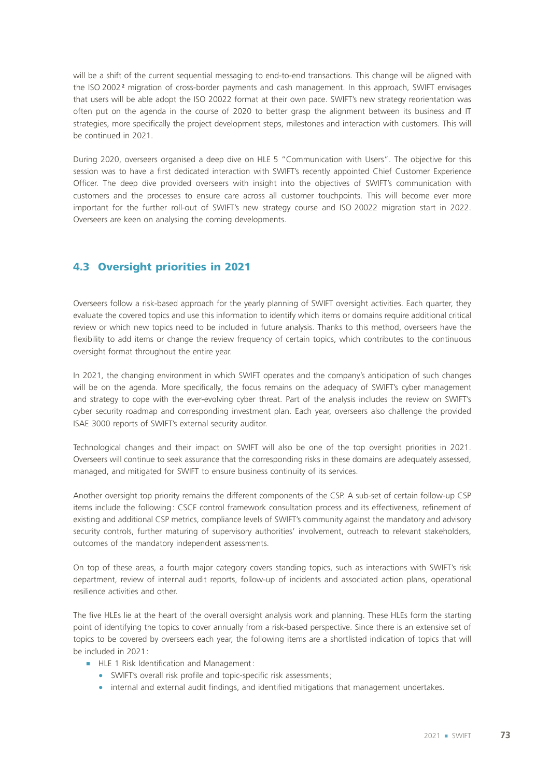will be a shift of the current sequential messaging to end-to-end transactions. This change will be aligned with the ISO 2002 **<sup>2</sup>** migration of cross‑border payments and cash management. In this approach, SWIFT envisages that users will be able adopt the ISO 20022 format at their own pace. SWIFT's new strategy reorientation was often put on the agenda in the course of 2020 to better grasp the alignment between its business and IT strategies, more specifically the project development steps, milestones and interaction with customers. This will be continued in 2021.

During 2020, overseers organised a deep dive on HLE 5 "Communication with Users". The objective for this session was to have a first dedicated interaction with SWIFT's recently appointed Chief Customer Experience Officer. The deep dive provided overseers with insight into the objectives of SWIFT's communication with customers and the processes to ensure care across all customer touchpoints. This will become ever more important for the further roll-out of SWIFT's new strategy course and ISO 20022 migration start in 2022. Overseers are keen on analysing the coming developments.

## 4.3 Oversight priorities in 2021

Overseers follow a risk‑based approach for the yearly planning of SWIFT oversight activities. Each quarter, they evaluate the covered topics and use this information to identify which items or domains require additional critical review or which new topics need to be included in future analysis. Thanks to this method, overseers have the flexibility to add items or change the review frequency of certain topics, which contributes to the continuous oversight format throughout the entire year.

In 2021, the changing environment in which SWIFT operates and the company's anticipation of such changes will be on the agenda. More specifically, the focus remains on the adequacy of SWIFT's cyber management and strategy to cope with the ever-evolving cyber threat. Part of the analysis includes the review on SWIFT's cyber security roadmap and corresponding investment plan. Each year, overseers also challenge the provided ISAE 3000 reports of SWIFT's external security auditor.

Technological changes and their impact on SWIFT will also be one of the top oversight priorities in 2021. Overseers will continue to seek assurance that the corresponding risks in these domains are adequately assessed, managed, and mitigated for SWIFT to ensure business continuity of its services.

Another oversight top priority remains the different components of the CSP. A sub-set of certain follow-up CSP items include the following: CSCF control framework consultation process and its effectiveness, refinement of existing and additional CSP metrics, compliance levels of SWIFT's community against the mandatory and advisory security controls, further maturing of supervisory authorities' involvement, outreach to relevant stakeholders, outcomes of the mandatory independent assessments.

On top of these areas, a fourth major category covers standing topics, such as interactions with SWIFT's risk department, review of internal audit reports, follow-up of incidents and associated action plans, operational resilience activities and other.

The five HLEs lie at the heart of the overall oversight analysis work and planning. These HLEs form the starting point of identifying the topics to cover annually from a risk-based perspective. Since there is an extensive set of topics to be covered by overseers each year, the following items are a shortlisted indication of topics that will be included in 2021:

- **EXECUTE: HLE 1 Risk Identification and Management:** 
	- SWIFT's overall risk profile and topic-specific risk assessments:
	- internal and external audit findings, and identified mitigations that management undertakes.